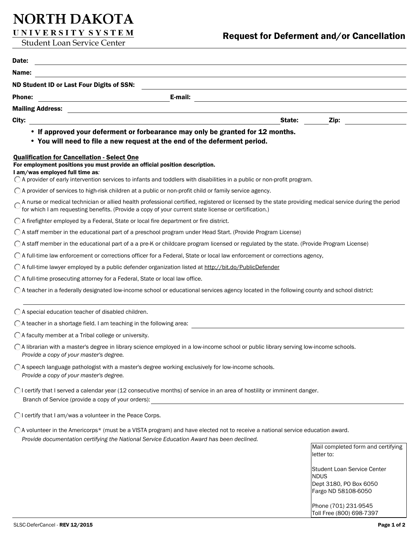# NORTH DAKOTA

UNIVERSITY SYSTEM

| Date:<br><u> 1989 - Johann Stein, marwolaethau a bhann an t-Amhainn an t-Amhainn an t-Amhainn an t-Amhainn an t-Amhainn a</u>                                                                                                                                                                    |             |                                                  |
|--------------------------------------------------------------------------------------------------------------------------------------------------------------------------------------------------------------------------------------------------------------------------------------------------|-------------|--------------------------------------------------|
| Name:<br><u> 1980 - Jan Stein, amerikansk politiker (d. 1980)</u>                                                                                                                                                                                                                                |             |                                                  |
| ND Student ID or Last Four Digits of SSN:                                                                                                                                                                                                                                                        |             |                                                  |
| E-mail:<br><b>Phone:</b><br><u> 1980 - John Stein, mars and de Brasilian (b. 1980)</u>                                                                                                                                                                                                           |             |                                                  |
|                                                                                                                                                                                                                                                                                                  |             |                                                  |
| City:<br>State:                                                                                                                                                                                                                                                                                  |             | $\mathsf{Zip:}$                                  |
| • If approved your deferment or forbearance may only be granted for 12 months.<br>• You will need to file a new request at the end of the deferment period.                                                                                                                                      |             |                                                  |
| <b>Qualification for Cancellation - Select One</b><br>For employment positions you must provide an official position description.<br>I am/was employed full time as:<br>○ A provider of early intervention services to infants and toddlers with disabilities in a public or non-profit program. |             |                                                  |
| $\bigcirc$ A provider of services to high-risk children at a public or non-profit child or family service agency.                                                                                                                                                                                |             |                                                  |
| A nurse or medical technician or allied health professional certified, registered or licensed by the state providing medical service during the period<br>for which I am requesting benefits. (Provide a copy of your current state license or certification.)                                   |             |                                                  |
| $\bigcap$ A firefighter employed by a Federal, State or local fire department or fire district.                                                                                                                                                                                                  |             |                                                  |
| ◯ A staff member in the educational part of a preschool program under Head Start. (Provide Program License)                                                                                                                                                                                      |             |                                                  |
| ○ A staff member in the educational part of a a pre-K or childcare program licensed or regulated by the state. (Provide Program License)                                                                                                                                                         |             |                                                  |
| ◯ A full-time law enforcement or corrections officer for a Federal, State or local law enforcement or corrections agency,                                                                                                                                                                        |             |                                                  |
| ○ A full-time lawyer employed by a public defender organization listed at http://bit.do/PublicDefender                                                                                                                                                                                           |             |                                                  |
| ◯ A full-time prosecuting attorney for a Federal, State or local law office.                                                                                                                                                                                                                     |             |                                                  |
| $\bigcirc$ A teacher in a federally designated low-income school or educational services agency located in the following county and school district:                                                                                                                                             |             |                                                  |
| ◯ A special education teacher of disabled children.                                                                                                                                                                                                                                              |             |                                                  |
| $\bigcirc$ A teacher in a shortage field. I am teaching in the following area:                                                                                                                                                                                                                   |             |                                                  |
| $\bigcirc$ A faculty member at a Tribal college or university.                                                                                                                                                                                                                                   |             |                                                  |
| ◯ A librarian with a master's degree in library science employed in a low-income school or public library serving low-income schools.<br>Provide a copy of your master's degree.                                                                                                                 |             |                                                  |
| ○ A speech language pathologist with a master's degree working exclusively for low-income schools.<br>Provide a copy of your master's degree.                                                                                                                                                    |             |                                                  |
| ◯ I certify that I served a calendar year (12 consecutive months) of service in an area of hostility or imminent danger.<br>Branch of Service (provide a copy of your orders):                                                                                                                   |             |                                                  |
| OI certify that I am/was a volunteer in the Peace Corps.                                                                                                                                                                                                                                         |             |                                                  |
| ○ A volunteer in the Americorps* (must be a VISTA program) and have elected not to receive a national service education award.<br>Provide documentation certifying the National Service Education Award has been declined.                                                                       |             |                                                  |
|                                                                                                                                                                                                                                                                                                  |             | Mail completed form and certifying<br>letter to: |
|                                                                                                                                                                                                                                                                                                  | <b>NDUS</b> | <b>Student Loan Service Center</b>               |

Dept 3180, PO Box 6050 Fargo ND 58108-6050

Phone (701) 231-9545 Toll Free (800) 698-7397